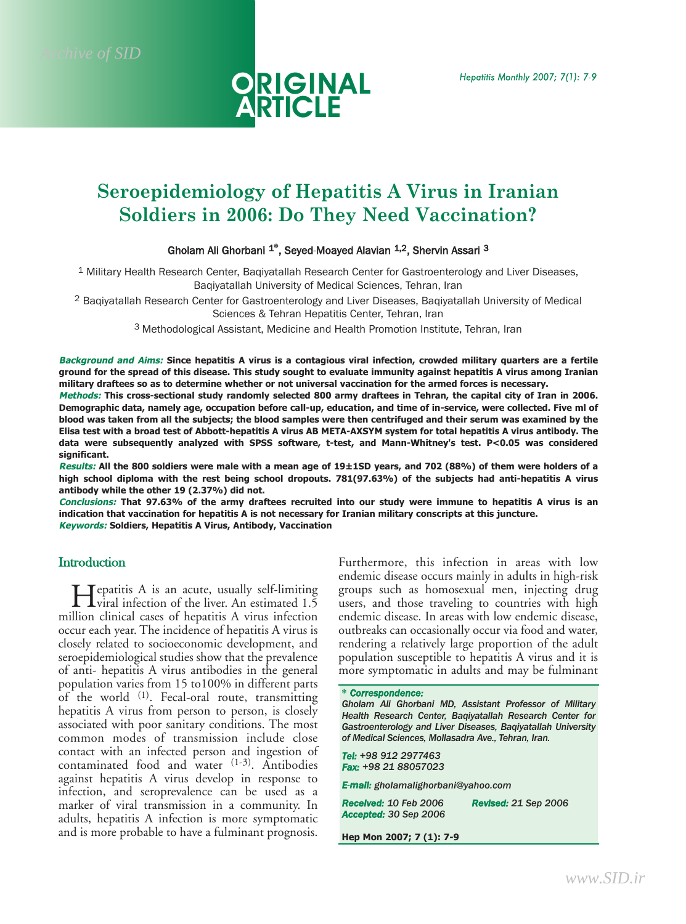

# **Seroepidemiology of Hepatitis A Virus in Iranian Soldiers in 2006: Do They Need Vaccination?**

#### Gholam Ali Ghorbani 1**\***, Seyed-Moayed Alavian 1,2, Shervin Assari 3

1 Military Health Research Center, Baqiyatallah Research Center for Gastroenterology and Liver Diseases, Baqiyatallah University of Medical Sciences, Tehran, Iran

2 Baqiyatallah Research Center for Gastroenterology and Liver Diseases, Baqiyatallah University of Medical Sciences & Tehran Hepatitis Center, Tehran, Iran

3 Methodological Assistant, Medicine and Health Promotion Institute, Tehran, Iran

**Background and Aims: Since hepatitis A virus is a contagious viral infection, crowded military quarters are a fertile ground for the spread of this disease. This study sought to evaluate immunity against hepatitis A virus among Iranian military draftees so as to determine whether or not universal vaccination for the armed forces is necessary.**

**Methods: This cross-sectional study randomly selected 800 army draftees in Tehran, the capital city of Iran in 2006. Demographic data, namely age, occupation before call-up, education, and time of in-service, were collected. Five ml of blood was taken from all the subjects; the blood samples were then centrifuged and their serum was examined by the Elisa test with a broad test of Abbott-hepatitis A virus AB META-AXSYM system for total hepatitis A virus antibody. The data were subsequently analyzed with SPSS software, t-test, and Mann-Whitney's test. P<0.05 was considered significant.**

**Results: All the 800 soldiers were male with a mean age of 19±1SD years, and 702 (88%) of them were holders of a high school diploma with the rest being school dropouts. 781(97.63%) of the subjects had anti-hepatitis A virus antibody while the other 19 (2.37%) did not.**

**Conclusions: That 97.63% of the army draftees recruited into our study were immune to hepatitis A virus is an indication that vaccination for hepatitis A is not necessary for Iranian military conscripts at this juncture. Keywords: Soldiers, Hepatitis A Virus, Antibody, Vaccination**

# **Introduction**

Hepatitis A is an acute, usually self-limiting viral infection of the liver. An estimated 1.5 million clinical cases of hepatitis A virus infection occur each year. The incidence of hepatitis A virus is closely related to socioeconomic development, and seroepidemiological studies show that the prevalence of anti- hepatitis A virus antibodies in the general population varies from 15 to100% in different parts of the world <sup>(1)</sup>. Fecal-oral route, transmitting hepatitis A virus from person to person, is closely associated with poor sanitary conditions. The most common modes of transmission include close contact with an infected person and ingestion of contaminated food and water (1-3). Antibodies against hepatitis A virus develop in response to infection, and seroprevalence can be used as a marker of viral transmission in a community. In adults, hepatitis A infection is more symptomatic and is more probable to have a fulminant prognosis. Furthermore, this infection in areas with low endemic disease occurs mainly in adults in high-risk groups such as homosexual men, injecting drug users, and those traveling to countries with high endemic disease. In areas with low endemic disease, outbreaks can occasionally occur via food and water, rendering a relatively large proportion of the adult population susceptible to hepatitis A virus and it is more symptomatic in adults and may be fulminant

**\*** *Correspondence: Gholam Ali Ghorbani MD, Assistant Professor of Military Health Research Center, Baqiyatallah Research Center for Gastroenterology and Liver Diseases, Baqiyatallah University of Medical Sciences, Mollasadra Ave., Tehran, Iran.*

*Tel: +98 912 2977463 Fax: +98 21 88057023*

*E-mail: gholamalighorbani@yahoo.com*

*Received: 10 Feb 2006 Revised: 21 Sep 2006 Accepted: 30 Sep 2006*

**Hep Mon 2007; 7 (1): 7-9**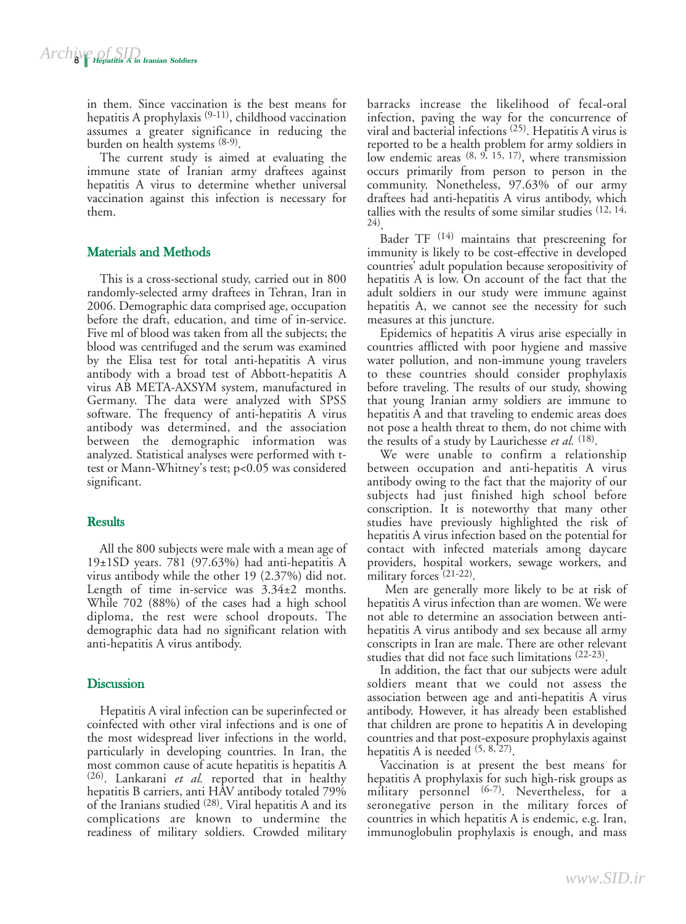in them. Since vaccination is the best means for hepatitis A prophylaxis (9-11), childhood vaccination assumes a greater significance in reducing the burden on health systems (8-9).

The current study is aimed at evaluating the immune state of Iranian army draftees against hepatitis A virus to determine whether universal vaccination against this infection is necessary for them.

# Materials and Methods

This is a cross-sectional study, carried out in 800 randomly-selected army draftees in Tehran, Iran in 2006. Demographic data comprised age, occupation before the draft, education, and time of in-service. Five ml of blood was taken from all the subjects; the blood was centrifuged and the serum was examined by the Elisa test for total anti-hepatitis A virus antibody with a broad test of Abbott-hepatitis A virus AB META-AXSYM system, manufactured in Germany. The data were analyzed with SPSS software. The frequency of anti-hepatitis A virus antibody was determined, and the association between the demographic information was analyzed. Statistical analyses were performed with ttest or Mann-Whitney's test; p<0.05 was considered significant.

### **Results**

All the 800 subjects were male with a mean age of 19±1SD years. 781 (97.63%) had anti-hepatitis A virus antibody while the other 19 (2.37%) did not. Length of time in-service was 3.34±2 months. While 702 (88%) of the cases had a high school diploma, the rest were school dropouts. The demographic data had no significant relation with anti-hepatitis A virus antibody.

# **Discussion**

Hepatitis A viral infection can be superinfected or coinfected with other viral infections and is one of the most widespread liver infections in the world, particularly in developing countries. In Iran, the most common cause of acute hepatitis is hepatitis A (26). Lankarani *et al.* reported that in healthy hepatitis B carriers, anti HAV antibody totaled 79% of the Iranians studied (28). Viral hepatitis A and its complications are known to undermine the readiness of military soldiers. Crowded military

barracks increase the likelihood of fecal-oral infection, paving the way for the concurrence of viral and bacterial infections (25). Hepatitis A virus is reported to be a health problem for army soldiers in low endemic areas  $(8, 9, 15, 17)$ , where transmission occurs primarily from person to person in the community. Nonetheless, 97.63% of our army draftees had anti-hepatitis A virus antibody, which tallies with the results of some similar studies (12, 14, 24).

Bader TF (14) maintains that prescreening for immunity is likely to be cost-effective in developed countries' adult population because seropositivity of hepatitis A is low. On account of the fact that the adult soldiers in our study were immune against hepatitis A, we cannot see the necessity for such measures at this juncture.

Epidemics of hepatitis A virus arise especially in countries afflicted with poor hygiene and massive water pollution, and non-immune young travelers to these countries should consider prophylaxis before traveling. The results of our study, showing that young Iranian army soldiers are immune to hepatitis A and that traveling to endemic areas does not pose a health threat to them, do not chime with the results of a study by Laurichesse *et al.* (18).

We were unable to confirm a relationship between occupation and anti-hepatitis A virus antibody owing to the fact that the majority of our subjects had just finished high school before conscription. It is noteworthy that many other studies have previously highlighted the risk of hepatitis A virus infection based on the potential for contact with infected materials among daycare providers, hospital workers, sewage workers, and military forces<sup>(21-22)</sup>.

Men are generally more likely to be at risk of hepatitis A virus infection than are women. We were not able to determine an association between antihepatitis A virus antibody and sex because all army conscripts in Iran are male. There are other relevant studies that did not face such limitations (22-23).

In addition, the fact that our subjects were adult soldiers meant that we could not assess the association between age and anti-hepatitis A virus antibody. However, it has already been established that children are prone to hepatitis A in developing countries and that post-exposure prophylaxis against hepatitis A is needed  $(5, 8, 27)$ .

Vaccination is at present the best means for hepatitis A prophylaxis for such high-risk groups as military personnel  $(6-7)$ . Nevertheless, for a seronegative person in the military forces of countries in which hepatitis A is endemic, e.g. Iran, immunoglobulin prophylaxis is enough, and mass